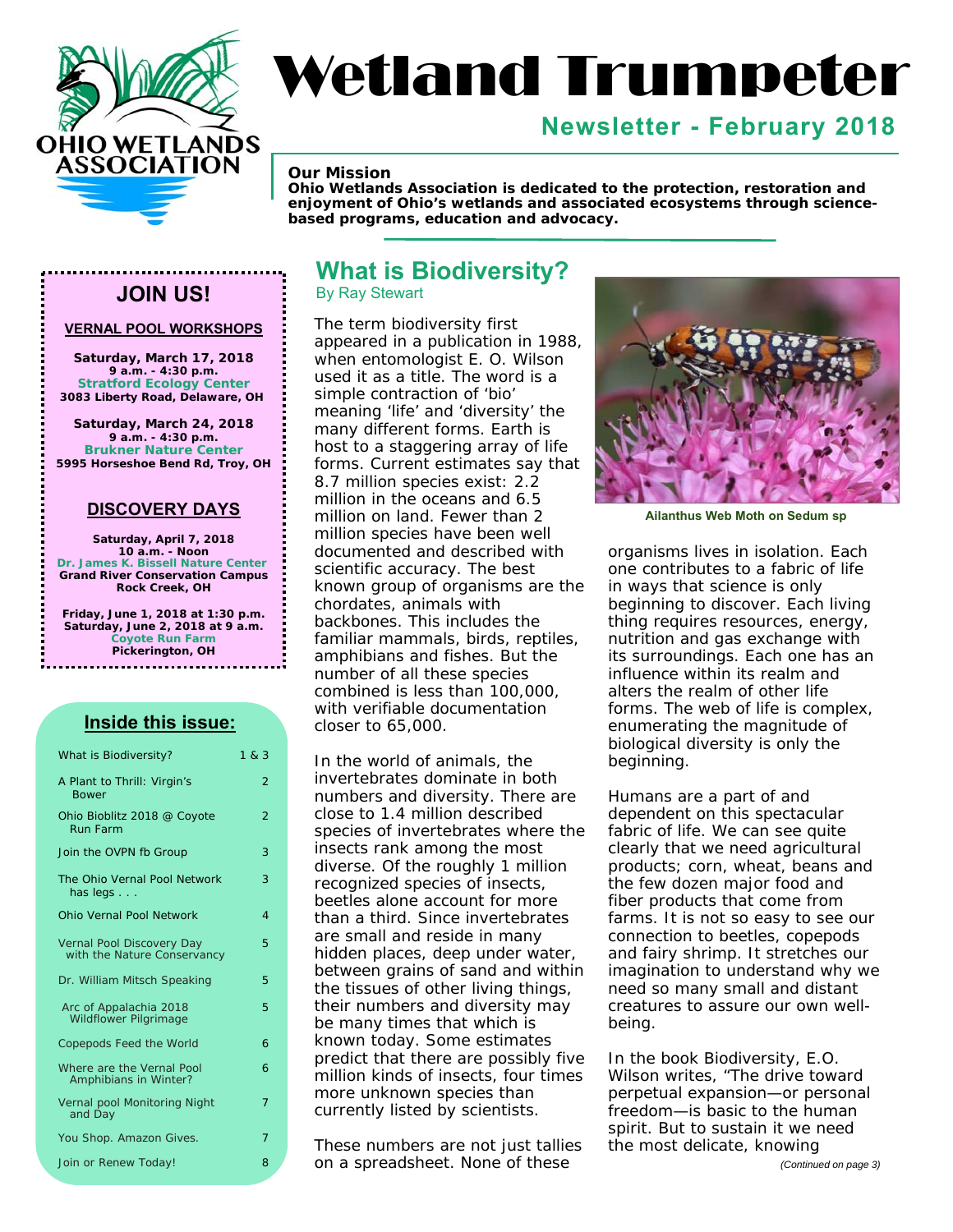

# Wetland Trumpeter

# **Newsletter - February 2018**

#### *Our Mission*

*Ohio Wetlands Association is dedicated to the protection, restoration and enjoyment of Ohio's wetlands and associated ecosystems through sciencebased programs, education and advocacy.* 

### **JOIN US!** By Ray Stewart

#### **VERNAL POOL WORKSHOPS**

**Saturday, March 17, 2018 9 a.m. - 4:30 p.m. Stratford Ecology Center 3083 Liberty Road, Delaware, OH** 

**Saturday, March 24, 2018 9 a.m. - 4:30 p.m. Brukner Nature Center 5995 Horseshoe Bend Rd, Troy, OH**

#### **DISCOVERY DAYS**

**Saturday, April 7, 2018 10 a.m. - Noon Dr. James K. Bissell Nature Center Grand River Conservation Campus Rock Creek, OH** 

**Friday, June 1, 2018 at 1:30 p.m. Saturday, June 2, 2018 at 9 a.m. Coyote Run Farm Pickerington, OH** 

#### **Inside this issue:**

| What is Biodiversity?                                           | 1 & 8 & 3      |
|-----------------------------------------------------------------|----------------|
| A Plant to Thrill: Virgin's<br><b>Bower</b>                     | $\overline{2}$ |
| Ohio Bioblitz 2018 @ Coyote<br><b>Run Farm</b>                  | $\mathfrak{D}$ |
| Join the OVPN fb Group                                          | 3              |
| The Ohio Vernal Pool Network<br>has legs $\ldots$               | 3              |
| <b>Ohio Vernal Pool Network</b>                                 | $\overline{A}$ |
| <b>Vernal Pool Discovery Day</b><br>with the Nature Conservancy | 5              |
| Dr. William Mitsch Speaking                                     | 5              |
| Arc of Appalachia 2018<br><b>Wildflower Pilgrimage</b>          | 5              |
| Copepods Feed the World                                         | 6              |
| Where are the Vernal Pool<br>Amphibians in Winter?              | 6              |
| Vernal pool Monitoring Night<br>and Day                         | 7              |
| You Shop. Amazon Gives.                                         | 7              |
| Join or Renew Today!                                            | 8              |

# **What is Biodiversity?**

The term biodiversity first appeared in a publication in 1988, when entomologist E. O. Wilson used it as a title. The word is a simple contraction of 'bio' meaning 'life' and 'diversity' the many different forms. Earth is host to a staggering array of life forms. Current estimates say that 8.7 million species exist: 2.2 million in the oceans and 6.5 million on land. Fewer than 2 million species have been well documented and described with scientific accuracy. The best known group of organisms are the chordates, animals with backbones. This includes the familiar mammals, birds, reptiles, amphibians and fishes. But the number of all these species combined is less than 100,000, with verifiable documentation closer to 65,000.

In the world of animals, the invertebrates dominate in both numbers and diversity. There are close to 1.4 million described species of invertebrates where the insects rank among the most diverse. Of the roughly 1 million recognized species of insects, beetles alone account for more than a third. Since invertebrates are small and reside in many hidden places, deep under water, between grains of sand and within the tissues of other living things, their numbers and diversity may be many times that which is known today. Some estimates predict that there are possibly five million kinds of insects, four times more unknown species than currently listed by scientists.

These numbers are not just tallies on a spreadsheet. None of these



**Ailanthus Web Moth on Sedum sp** 

organisms lives in isolation. Each one contributes to a fabric of life in ways that science is only beginning to discover. Each living thing requires resources, energy, nutrition and gas exchange with its surroundings. Each one has an influence within its realm and alters the realm of other life forms. The web of life is complex, enumerating the magnitude of biological diversity is only the beginning.

Humans are a part of and dependent on this spectacular fabric of life. We can see quite clearly that we need agricultural products; corn, wheat, beans and the few dozen major food and fiber products that come from farms. It is not so easy to see our connection to beetles, copepods and fairy shrimp. It stretches our imagination to understand why we need so many small and distant creatures to assure our own wellbeing.

In the book *Biodiversity,* E.O. Wilson writes, "The drive toward perpetual expansion—or personal freedom—is basic to the human spirit. But to sustain it we need the most delicate, knowing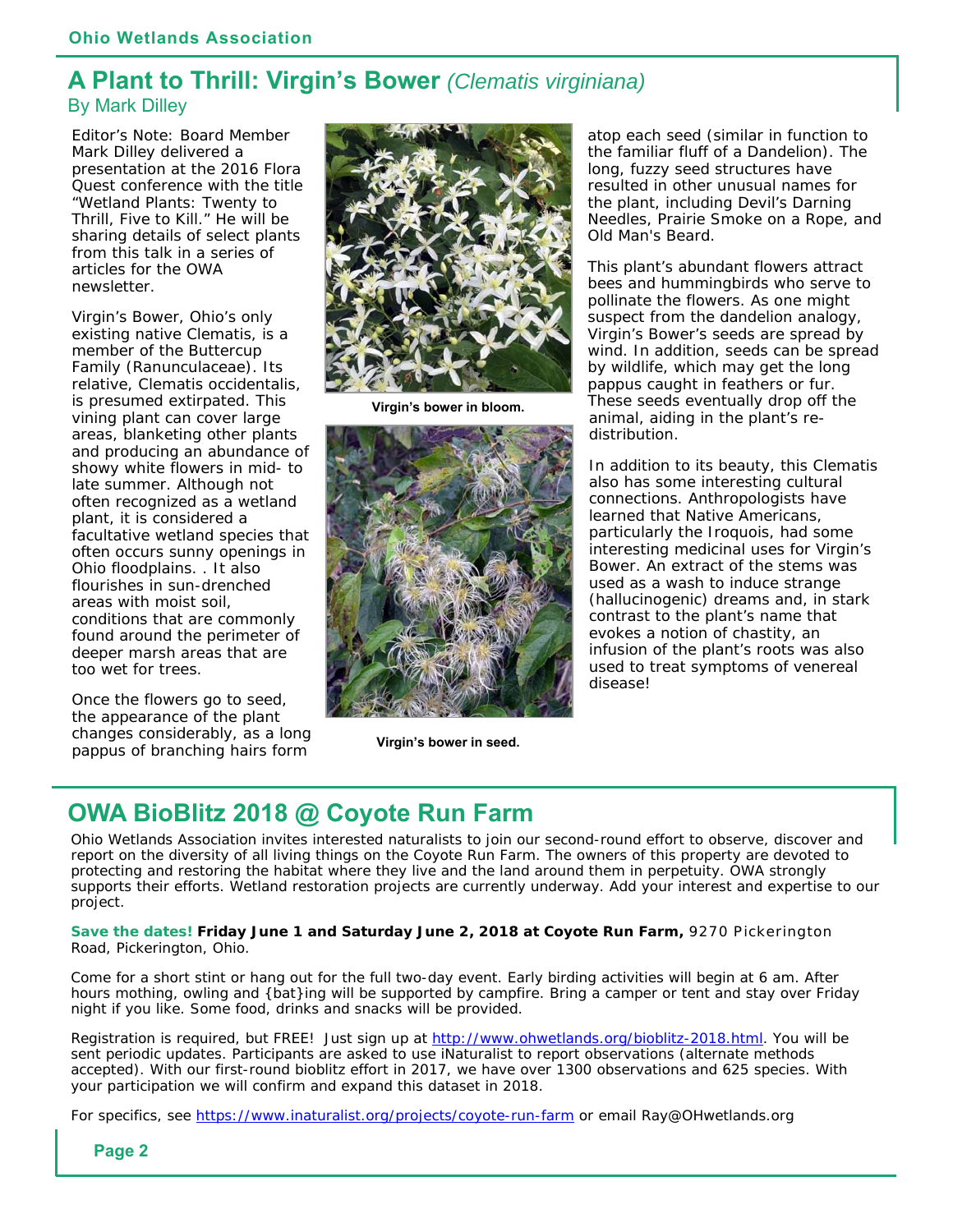## **A Plant to Thrill: Virgin's Bower** *(Clematis virginiana)*  By Mark Dilley

Editor's Note: Board Member Mark Dilley delivered a presentation at the 2016 Flora Quest conference with the title "Wetland Plants: Twenty to Thrill, Five to Kill." He will be sharing details of select plants from this talk in a series of articles for the OWA newsletter.

Virgin's Bower, Ohio's only existing native Clematis, is a member of the Buttercup Family (Ranunculaceae). Its relative, *Clematis occidentalis*, is presumed extirpated. This vining plant can cover large areas, blanketing other plants and producing an abundance of showy white flowers in mid- to late summer. Although not often recognized as a wetland plant, it is considered a facultative wetland species that often occurs sunny openings in Ohio floodplains. . It also flourishes in sun-drenched areas with moist soil, conditions that are commonly found around the perimeter of deeper marsh areas that are too wet for trees.

Once the flowers go to seed, the appearance of the plant changes considerably, as a long pappus of branching hairs form



**Virgin's bower in bloom.** 



**Virgin's bower in seed.** 

atop each seed (similar in function to the familiar fluff of a Dandelion). The long, fuzzy seed structures have resulted in other unusual names for the plant, including Devil's Darning Needles, Prairie Smoke on a Rope, and Old Man's Beard.

This plant's abundant flowers attract bees and hummingbirds who serve to pollinate the flowers. As one might suspect from the dandelion analogy, Virgin's Bower's seeds are spread by wind. In addition, seeds can be spread by wildlife, which may get the long pappus caught in feathers or fur. These seeds eventually drop off the animal, aiding in the plant's redistribution.

In addition to its beauty, this Clematis also has some interesting cultural connections. Anthropologists have learned that Native Americans, particularly the Iroquois, had some interesting medicinal uses for Virgin's Bower. An extract of the stems was used as a wash to induce strange (hallucinogenic) dreams and, in stark contrast to the plant's name that evokes a notion of chastity, an infusion of the plant's roots was also used to treat symptoms of venereal disease!

# **OWA BioBlitz 2018 @ Coyote Run Farm**

Ohio Wetlands Association invites interested naturalists to join our second-round effort to observe, discover and report on the diversity of all living things on the Coyote Run Farm. The owners of this property are devoted to protecting and restoring the habitat where they live and the land around them in perpetuity. OWA strongly supports their efforts. Wetland restoration projects are currently underway. Add your interest and expertise to our project.

**Save the dates! Friday June 1 and Saturday June 2, 2018 at Coyote Run Farm,** 9270 Pickerington Road, Pickerington, Ohio.

Come for a short stint or hang out for the full two-day event. Early birding activities will begin at 6 am. After hours mothing, owling and {bat}ing will be supported by campfire. Bring a camper or tent and stay over Friday night if you like. Some food, drinks and snacks will be provided.

Registration is required, but FREE! Just sign up at [http://www.ohwetlands.org/bioblitz-2018.html. Yo](http://www.ohwetlands.org/bioblitz-2018.html)u will be sent periodic updates. Participants are asked to use iNaturalist to report observations (alternate methods accepted). With our first-round bioblitz effort in 2017, we have over 1300 observations and 625 species. With your participation we will confirm and expand this dataset in 2018.

For specifics, see [https://www.inaturalist.org/projects/coyote-run-farm or](https://www.inaturalist.org/projects/coyote-run-farm) email Ray@OHwetlands.org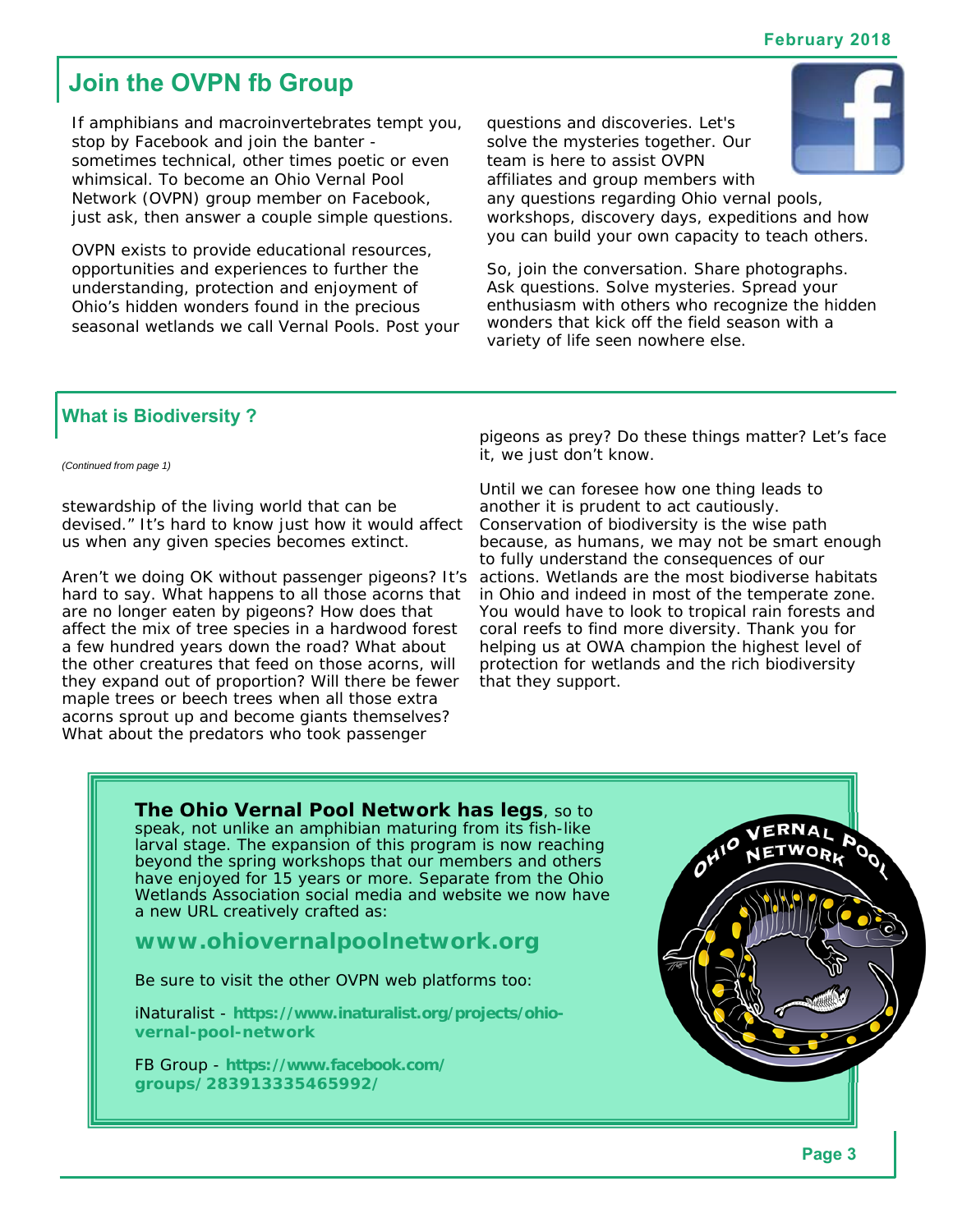# **Join the OVPN fb Group**

If amphibians and macroinvertebrates tempt you, stop by Facebook and join the banter sometimes technical, other times poetic or even whimsical. To become an Ohio Vernal Pool Network (OVPN) group member on Facebook, just ask, then answer a couple simple questions.

OVPN exists to provide educational resources, opportunities and experiences to further the understanding, protection and enjoyment of Ohio's hidden wonders found in the precious seasonal wetlands we call Vernal Pools. Post your questions and discoveries. Let's solve the mysteries together. Our team is here to assist OVPN affiliates and group members with



any questions regarding Ohio vernal pools, workshops, discovery days, expeditions and how you can build your own capacity to teach others.

So, join the conversation. Share photographs. Ask questions. Solve mysteries. Spread your enthusiasm with others who recognize the hidden wonders that kick off the field season with a variety of life seen nowhere else.

## **What is Biodiversity ?**

*(Continued from page 1)* 

stewardship of the living world that can be devised." It's hard to know just how it would affect us when any given species becomes extinct.

Aren't we doing OK without passenger pigeons? It's hard to say. What happens to all those acorns that are no longer eaten by pigeons? How does that affect the mix of tree species in a hardwood forest a few hundred years down the road? What about the other creatures that feed on those acorns, will they expand out of proportion? Will there be fewer maple trees or beech trees when all those extra acorns sprout up and become giants themselves? What about the predators who took passenger

pigeons as prey? Do these things matter? Let's face it, we just don't know.

Until we can foresee how one thing leads to another it is prudent to act cautiously. Conservation of biodiversity is the wise path because, as humans, we may not be smart enough to fully understand the consequences of our actions. Wetlands are the most biodiverse habitats in Ohio and indeed in most of the temperate zone. You would have to look to tropical rain forests and coral reefs to find more diversity. Thank you for helping us at OWA champion the highest level of protection for wetlands and the rich biodiversity that they support.

**The Ohio Vernal Pool Network has legs**, so to speak, not unlike an amphibian maturing from its fish-like larval stage. The expansion of this program is now reaching beyond the spring workshops that our members and others have enjoyed for 15 years or more. Separate from the Ohio Wetlands Association social media and website we now have a new URL creatively crafted as:

**[www.ohiovernalpoolnetwork.org](http://www.ohiovernalpoolnetwork.org)** 

Be sure to visit the other OVPN web platforms too:

iNaturalist - **[https://www.inaturalist.org/projects/ohio](https://www.inaturalist.org/projects/ohio-vernal-pool-network)vernal-[pool-network](https://www.inaturalist.org/projects/ohio-vernal-pool-network)** 

FB Group - **<https://www.facebook.com/> groups/283913335465992/**

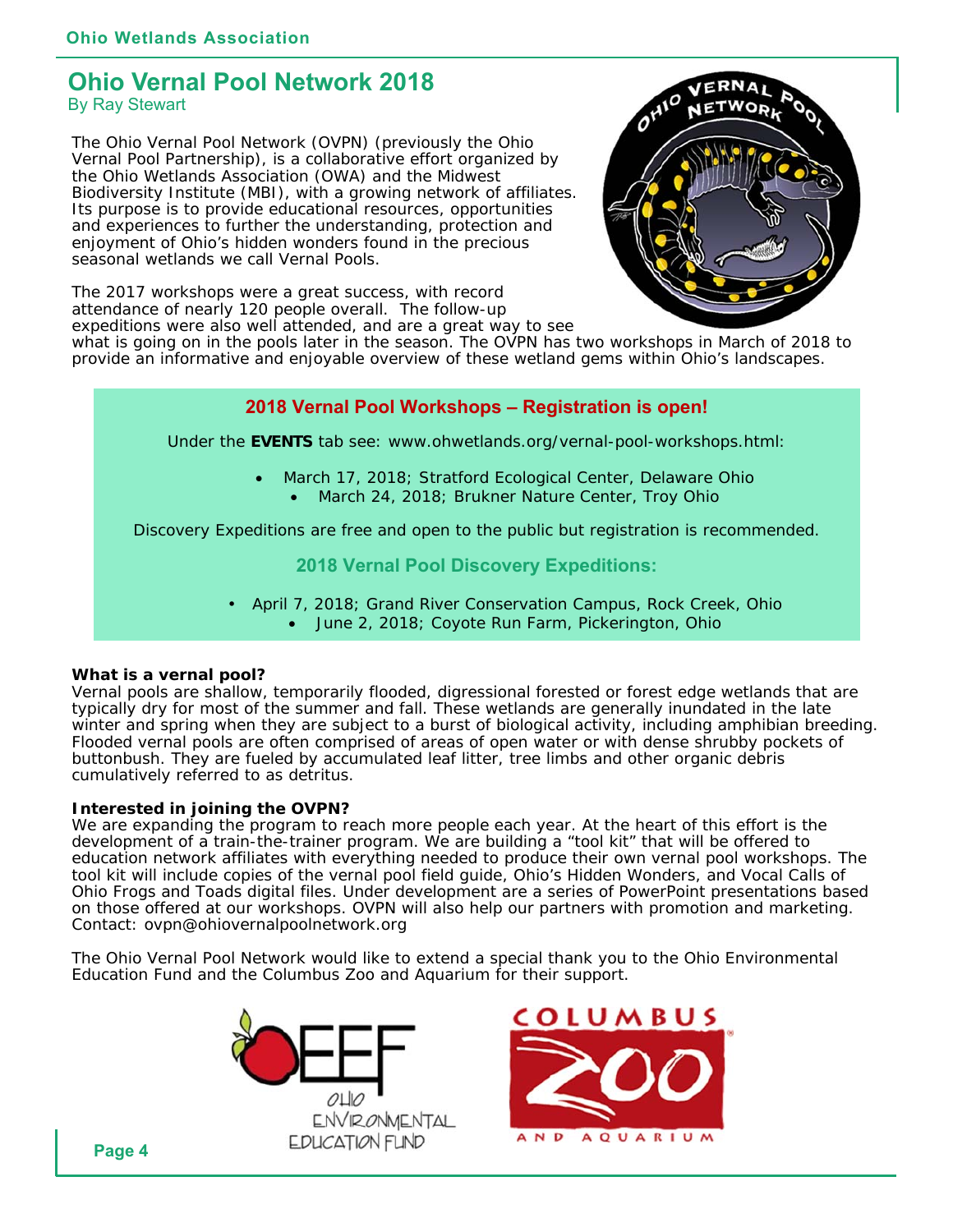## **Ohio Vernal Pool Network 2018**  By Ray Stewart

The Ohio Vernal Pool Network (OVPN) (previously the Ohio Vernal Pool Partnership), is a collaborative effort organized by the Ohio Wetlands Association (OWA) and the Midwest Biodiversity Institute (MBI), with a growing network of affiliates. Its purpose is to provide educational resources, opportunities and experiences to further the understanding, protection and enjoyment of Ohio's hidden wonders found in the precious seasonal wetlands we call Vernal Pools.



The 2017 workshops were a great success, with record attendance of nearly 120 people overall. The follow-up expeditions were also well attended, and are a great way to see

what is going on in the pools later in the season. The OVPN has two workshops in March of 2018 to provide an informative and enjoyable overview of these wetland gems within Ohio's landscapes.

#### **2018 Vernal Pool Workshops – Registration is open!**

Under the **EVENTS** tab see: [www.ohwetlands.org/vernal-pool-workshops.html:](http://www.ohwetlands.org/vernal-pool-workshops.html:) 

 March 17, 2018; Stratford Ecological Center, Delaware Ohio • March 24, 2018; Brukner Nature Center, Troy Ohio

Discovery Expeditions are free and open to the public but registration is recommended.

**2018 Vernal Pool Discovery Expeditions:**

- April 7, 2018; Grand River Conservation Campus, Rock Creek, Ohio
	- June 2, 2018; Coyote Run Farm, Pickerington, Ohio

#### **What is a vernal pool?**

Vernal pools are shallow, temporarily flooded, digressional forested or forest edge wetlands that are typically dry for most of the summer and fall. These wetlands are generally inundated in the late winter and spring when they are subject to a burst of biological activity, including amphibian breeding. Flooded vernal pools are often comprised of areas of open water or with dense shrubby pockets of buttonbush. They are fueled by accumulated leaf litter, tree limbs and other organic debris cumulatively referred to as detritus.

#### **Interested in joining the OVPN?**

We are expanding the program to reach more people each year. At the heart of this effort is the development of a train-the-trainer program. We are building a "tool kit" that will be offered to education network affiliates with everything needed to produce their own vernal pool workshops. The tool kit will include copies of the vernal pool field guide, Ohio's Hidden Wonders, and Vocal Calls of Ohio Frogs and Toads digital files. Under development are a series of PowerPoint presentations based on those offered at our workshops. OVPN will also help our partners with promotion and marketing. Contact: [ovpn@ohiovernalpoolnetwork.org](mailto:ovpn@ohiovernalpoolnetwork.org) 

The Ohio Vernal Pool Network would like to extend a special thank you to the Ohio Environmental Education Fund and the Columbus Zoo and Aquarium for their support.





**Page 4**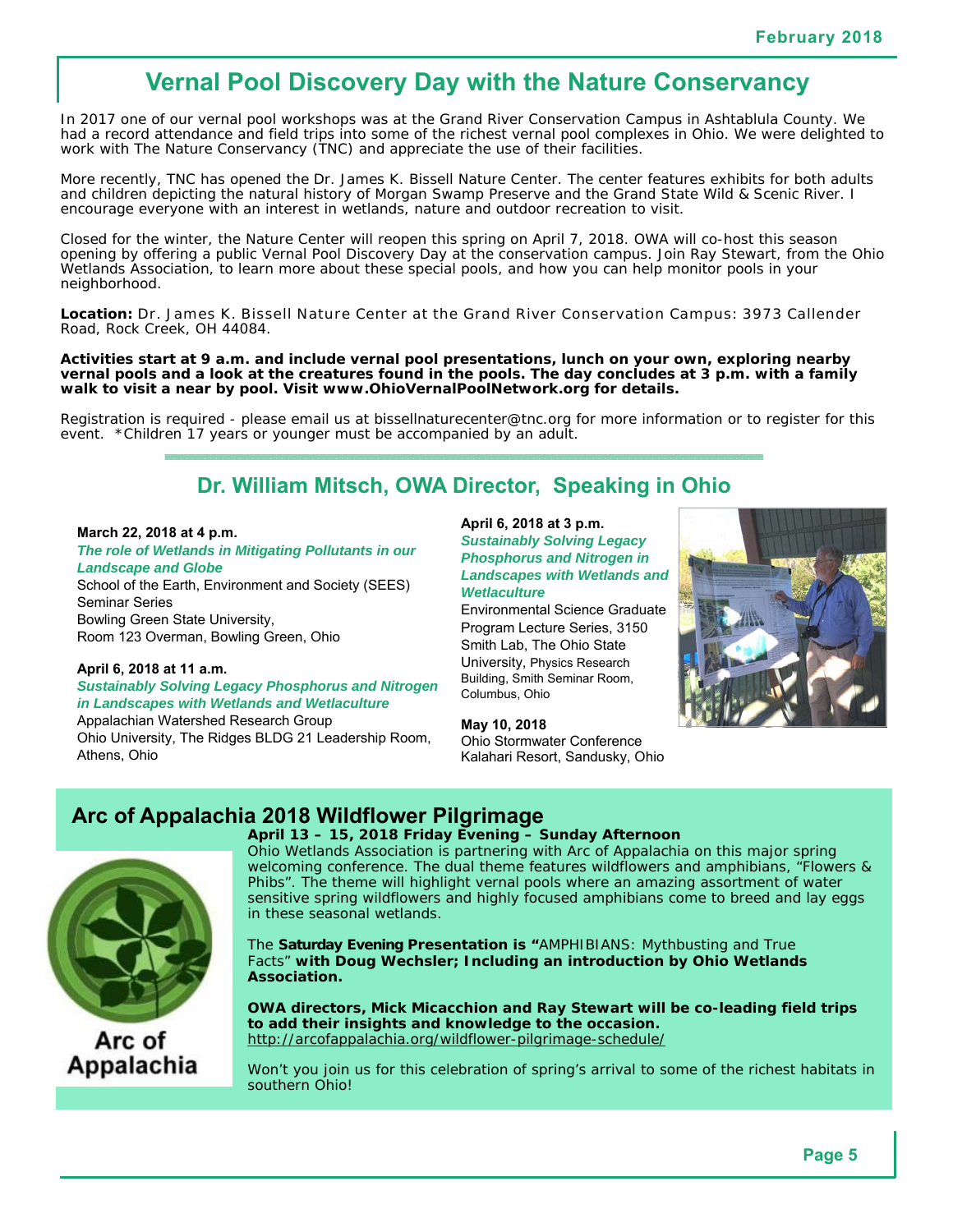# **Vernal Pool Discovery Day with the Nature Conservancy**

In 2017 one of our vernal pool workshops was at the Grand River Conservation Campus in Ashtablula County. We had a record attendance and field trips into some of the richest vernal pool complexes in Ohio. We were delighted to work with The Nature Conservancy (TNC) and appreciate the use of their facilities.

More recently, TNC has opened the Dr. James K. Bissell Nature Center. The center features exhibits for both adults and children depicting the natural history of Morgan Swamp Preserve and the Grand State Wild & Scenic River. I encourage everyone with an interest in wetlands, nature and outdoor recreation to visit.

Closed for the winter, the Nature Center will reopen this spring on April 7, 2018. OWA will co-host this season opening by offering a public Vernal Pool Discovery Day at the conservation campus. Join Ray Stewart, from the Ohio Wetlands Association, to learn more about these special pools, and how you can help monitor pools in your neighborhood.

**Location:** Dr. James K. Bissell Nature Center at the Grand River Conservation Campus: 3973 Callender Road, Rock Creek, OH 44084.

**Activities start at 9 a.m. and include vernal pool presentations, lunch on your own, exploring nearby vernal pools and a look at the creatures found in the pools. The day concludes at 3 p.m. with a family walk to visit a near by pool. Visit [www.OhioVernalPoolNetwork.org fo](http://www.OhioVernalPoolNetwork.org)r details.** 

Registration is required - please email us at [bissellnaturecenter@tnc.org fo](mailto:bissellnaturecenter@tnc.org)r more information or to register for this event. \* Children 17 years or younger must be accompanied by an adult.

## **Dr. William Mitsch, OWA Director, Speaking in Ohio**

#### **March 22, 2018 at 4 p.m.**

*The role of Wetlands in Mitigating Pollutants in our Landscape and Globe* 

School of the Earth, Environment and Society (SEES) Seminar Series Bowling Green State University, Room 123 Overman, Bowling Green, Ohio

#### **April 6, 2018 at 11 a.m.**  *Sustainably Solving Legacy Phosphorus and Nitrogen*

*in Landscapes with Wetlands and Wetlaculture*  Appalachian Watershed Research Group

Ohio University, The Ridges BLDG 21 Leadership Room, Athens, Ohio

**April 6, 2018 at 3 p.m.**  *Sustainably Solving Legacy Phosphorus and Nitrogen in Landscapes with Wetlands and Wetlaculture* 

Environmental Science Graduate Program Lecture Series, 3150 Smith Lab, The Ohio State University, Physics Research Building, Smith Seminar Room, Columbus, Ohio



## Ohio Stormwater Conference Kalahari Resort, Sandusky, Ohio

**May 10, 2018**

## **Arc of Appalachia 2018 Wildflower Pilgrimage**



**Appalachia** 

**April 13 – 15, 2018 Friday Evening – Sunday Afternoon**  Ohio Wetlands Association is partnering with Arc of Appalachia on this major spring welcoming conference. The dual theme features wildflowers and amphibians, "Flowers & Phibs". The theme will highlight vernal pools where an amazing assortment of water sensitive spring wildflowers and highly focused amphibians come to breed and lay eggs in these seasonal wetlands.

The **Saturday Evening Presentation is "***AMPHIBIANS: Mythbusting and True Facts"* **with Doug Wechsler; Including an introduction by Ohio Wetlands Association.** 

**OWA directors, Mick Micacchion and Ray Stewart will be co-leading field trips to add their insights and knowledge to the occasion.**  <http://arcofappalachia.org/wildflower-pilgrimage-schedule/>

Won't you join us for this celebration of spring's arrival to some of the richest habitats in southern Ohio!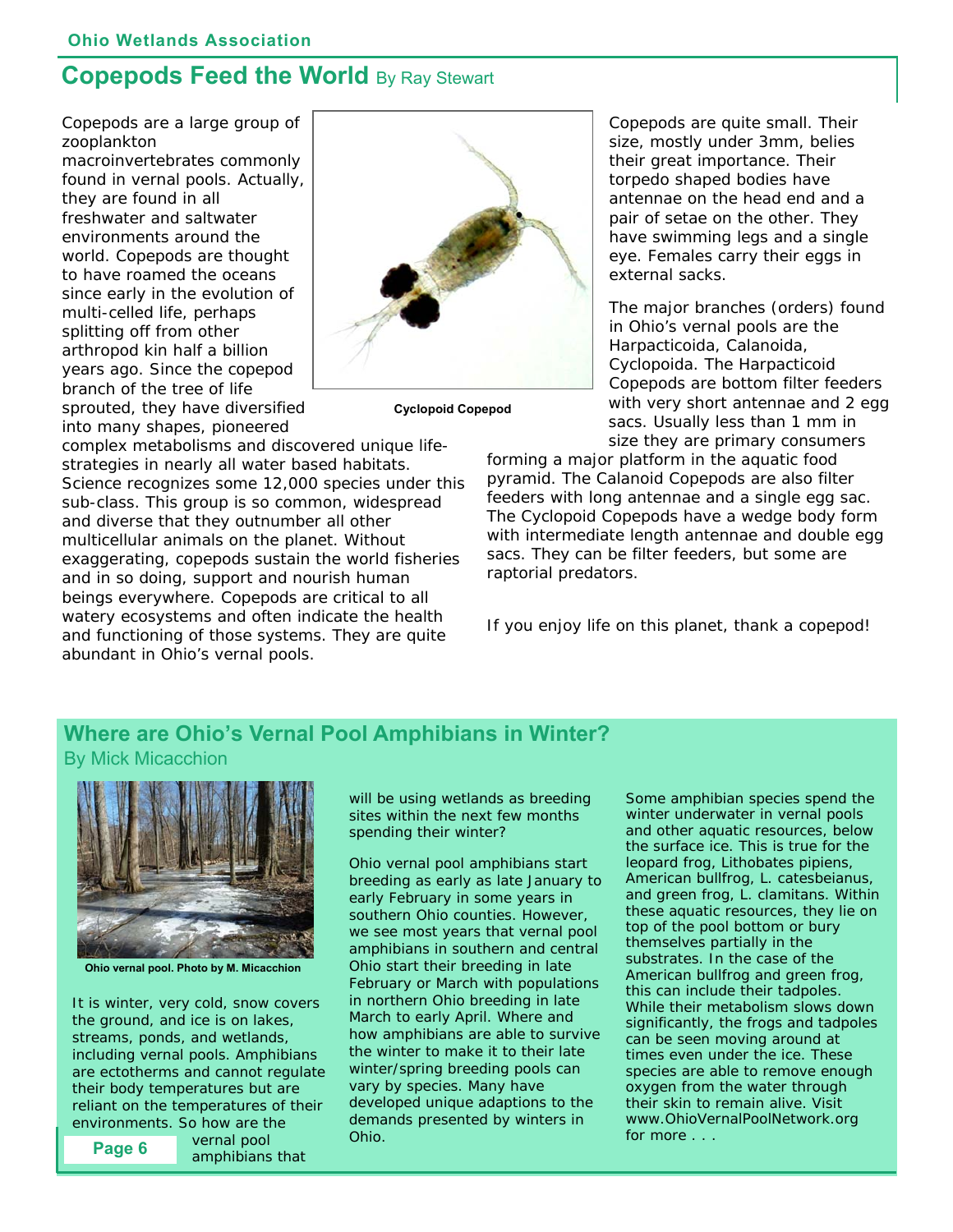## **Copepods Feed the World** By Ray Stewart

Copepods are a large group of zooplankton

macroinvertebrates commonly found in vernal pools. Actually, they are found in all freshwater and saltwater environments around the world. Copepods are thought to have roamed the oceans since early in the evolution of multi-celled life, perhaps splitting off from other arthropod kin half a billion years ago. Since the copepod branch of the tree of life sprouted, they have diversified into many shapes, pioneered



**Cyclopoid Copepod** 

complex metabolisms and discovered unique lifestrategies in nearly all water based habitats. Science recognizes some 12,000 species under this sub-class. This group is so common, widespread and diverse that they outnumber all other multicellular animals on the planet. Without exaggerating, copepods sustain the world fisheries and in so doing, support and nourish human beings everywhere. Copepods are critical to all watery ecosystems and often indicate the health and functioning of those systems. They are quite abundant in Ohio's vernal pools.

Copepods are quite small. Their size, mostly under 3mm, belies their great importance. Their torpedo shaped bodies have antennae on the head end and a pair of setae on the other. They have swimming legs and a single eye. Females carry their eggs in external sacks.

The major branches (orders) found in Ohio's vernal pools are the Harpacticoida, Calanoida, Cyclopoida. The Harpacticoid Copepods are bottom filter feeders with very short antennae and 2 egg sacs. Usually less than 1 mm in size they are primary consumers

forming a major platform in the aquatic food pyramid. The Calanoid Copepods are also filter feeders with long antennae and a single egg sac. The Cyclopoid Copepods have a wedge body form with intermediate length antennae and double egg sacs. They can be filter feeders, but some are raptorial predators.

If you enjoy life on this planet, thank a copepod!

## **Where are Ohio's Vernal Pool Amphibians in Winter?**  By Mick Micacchion



**Ohio vernal pool. Photo by M. Micacchion** 

It is winter, very cold, snow covers the ground, and ice is on lakes, streams, ponds, and wetlands, including vernal pools. Amphibians are ectotherms and cannot regulate their body temperatures but are reliant on the temperatures of their environments. So how are the

**Page 6** 

vernal pool amphibians that will be using wetlands as breeding sites within the next few months spending their winter?

Ohio vernal pool amphibians start breeding as early as late January to early February in some years in southern Ohio counties. However, we see most years that vernal pool amphibians in southern and central Ohio start their breeding in late February or March with populations in northern Ohio breeding in late March to early April. Where and how amphibians are able to survive the winter to make it to their late winter/spring breeding pools can vary by species. Many have developed unique adaptions to the demands presented by winters in Ohio.

Some amphibian species spend the winter underwater in vernal pools and other aquatic resources, below the surface ice. This is true for the leopard frog, *Lithobates pipiens*, American bullfrog, *L. catesbeianus*, and green frog, *L. clamitans*. Within these aquatic resources, they lie on top of the pool bottom or bury themselves partially in the substrates. In the case of the American bullfrog and green frog, this can include their tadpoles. While their metabolism slows down significantly, the frogs and tadpoles can be seen moving around at times even under the ice. These species are able to remove enough oxygen from the water through their skin to remain alive. Visit [www.OhioVernalPoolNetwork.org](http://www.OhioVernalPoolNetwork.org)  for more . . .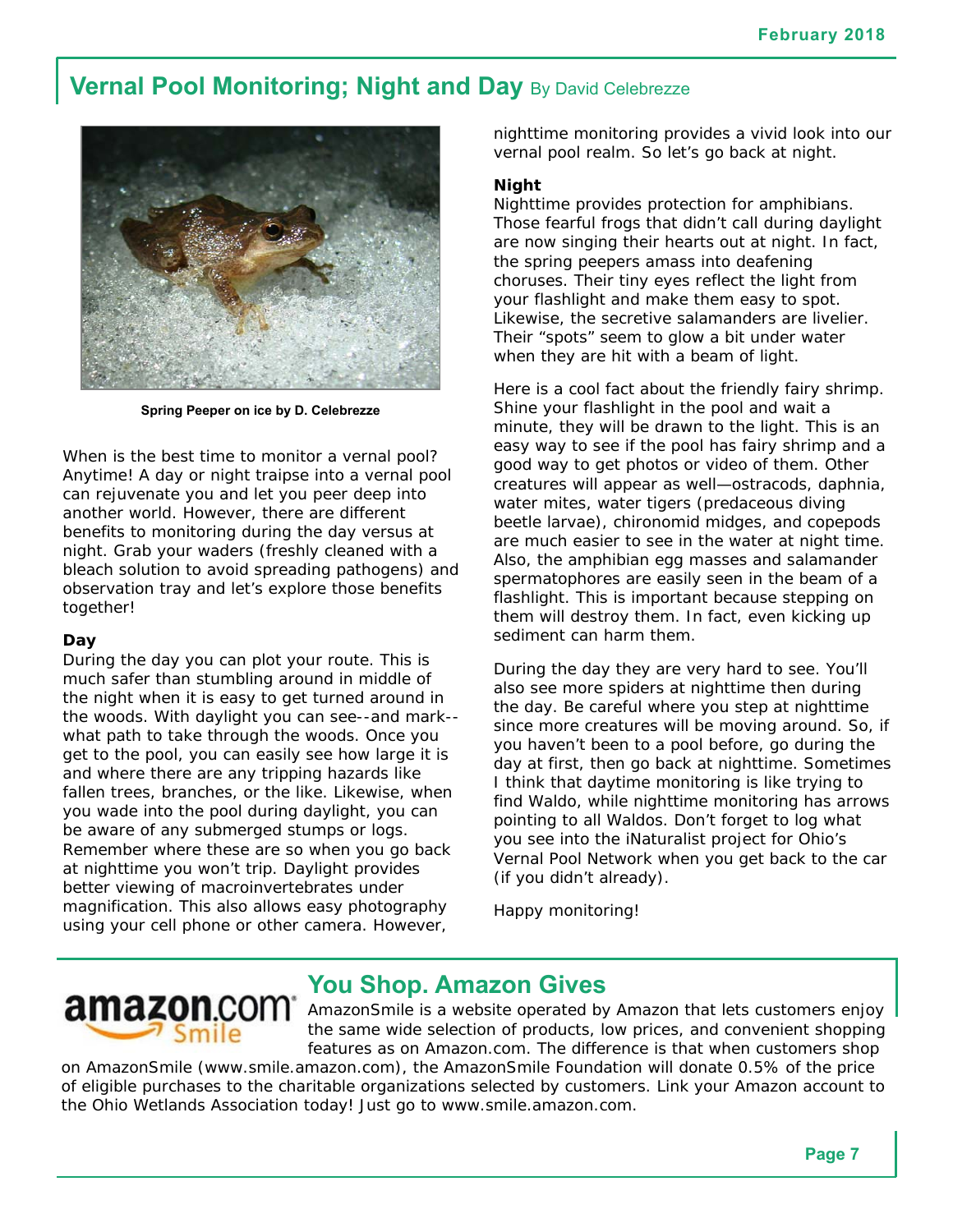# **Vernal Pool Monitoring; Night and Day** By David Celebrezze



**Spring Peeper on ice by D. Celebrezze** 

When is the best time to monitor a vernal pool? Anytime! A day or night traipse into a vernal pool can rejuvenate you and let you peer deep into another world. However, there are different benefits to monitoring during the day versus at night. Grab your waders (freshly cleaned with a bleach solution to avoid spreading pathogens) and observation tray and let's explore those benefits together!

#### **Day**

During the day you can plot your route. This is much safer than stumbling around in middle of the night when it is easy to get turned around in the woods. With daylight you can see--and mark- what path to take through the woods. Once you get to the pool, you can easily see how large it is and where there are any tripping hazards like fallen trees, branches, or the like. Likewise, when you wade into the pool during daylight, you can be aware of any submerged stumps or logs. Remember where these are so when you go back at nighttime you won't trip. Daylight provides better viewing of macroinvertebrates under magnification. This also allows easy photography using your cell phone or other camera. However,

nighttime monitoring provides a vivid look into our vernal pool realm. So let's go back at night.

#### **Night**

Nighttime provides protection for amphibians. Those fearful frogs that didn't call during daylight are now singing their hearts out at night. In fact, the spring peepers amass into deafening choruses. Their tiny eyes reflect the light from your flashlight and make them easy to spot. Likewise, the secretive salamanders are livelier. Their "spots" seem to glow a bit under water when they are hit with a beam of light.

Here is a cool fact about the friendly fairy shrimp. Shine your flashlight in the pool and wait a minute, they will be drawn to the light. This is an easy way to see if the pool has fairy shrimp and a good way to get photos or video of them. Other creatures will appear as well—ostracods, daphnia, water mites, water tigers (predaceous diving beetle larvae), chironomid midges, and copepods are much easier to see in the water at night time. Also, the amphibian egg masses and salamander spermatophores are easily seen in the beam of a flashlight. This is important because stepping on them will destroy them. In fact, even kicking up sediment can harm them.

During the day they are very hard to see. You'll also see more spiders at nighttime then during the day. Be careful where you step at nighttime since more creatures will be moving around. So, if you haven't been to a pool before, go during the day at first, then go back at nighttime. Sometimes I think that daytime monitoring is like trying to find Waldo, while nighttime monitoring has arrows pointing to all Waldos. Don't forget to log what you see into the iNaturalist project for Ohio's Vernal Pool Network when you get back to the car (if you didn't already).

Happy monitoring!



## **You Shop. Amazon Gives**

amazon.com AmazonSmile is a website operated by Amazon that lets customers enjoy the same wide selection of products, low prices, and convenient shopping features as on Amazon.com. The difference is that when customers shop

on AmazonSmile ([www.smile.amazon.com\), th](http://www.smile.amazon.com)e AmazonSmile Foundation will donate 0.5% of the price of eligible purchases to the charitable organizations selected by customers. Link your Amazon account to the Ohio Wetlands Association today! Just go to [www.smile.amazon.com.](http://www.smile.amazon.com)